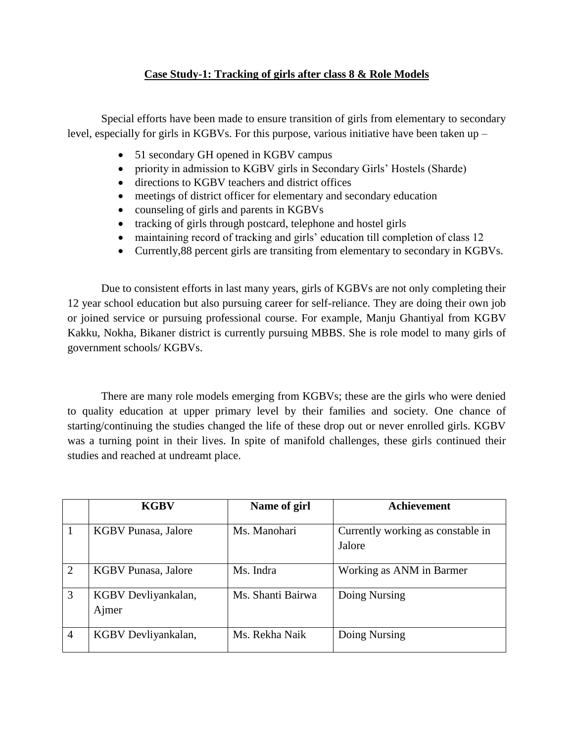## **Case Study-1: Tracking of girls after class 8 & Role Models**

Special efforts have been made to ensure transition of girls from elementary to secondary level, especially for girls in KGBVs. For this purpose, various initiative have been taken up –

- 51 secondary GH opened in KGBV campus
- priority in admission to KGBV girls in Secondary Girls' Hostels (Sharde)
- directions to KGBV teachers and district offices
- meetings of district officer for elementary and secondary education
- counseling of girls and parents in KGBVs
- tracking of girls through postcard, telephone and hostel girls
- maintaining record of tracking and girls' education till completion of class 12
- Currently,88 percent girls are transiting from elementary to secondary in KGBVs.

Due to consistent efforts in last many years, girls of KGBVs are not only completing their 12 year school education but also pursuing career for self-reliance. They are doing their own job or joined service or pursuing professional course. For example, Manju Ghantiyal from KGBV Kakku, Nokha, Bikaner district is currently pursuing MBBS. She is role model to many girls of government schools/ KGBVs.

There are many role models emerging from KGBVs; these are the girls who were denied to quality education at upper primary level by their families and society. One chance of starting/continuing the studies changed the life of these drop out or never enrolled girls. KGBV was a turning point in their lives. In spite of manifold challenges, these girls continued their studies and reached at undreamt place.

|                | <b>KGBV</b>                  | Name of girl      | <b>Achievement</b>                          |
|----------------|------------------------------|-------------------|---------------------------------------------|
| 1              | KGBV Punasa, Jalore          | Ms. Manohari      | Currently working as constable in<br>Jalore |
| $\overline{2}$ | KGBV Punasa, Jalore          | Ms. Indra         | Working as ANM in Barmer                    |
| 3              | KGBV Devliyankalan,<br>Ajmer | Ms. Shanti Bairwa | Doing Nursing                               |
| $\overline{4}$ | KGBV Devliyankalan,          | Ms. Rekha Naik    | Doing Nursing                               |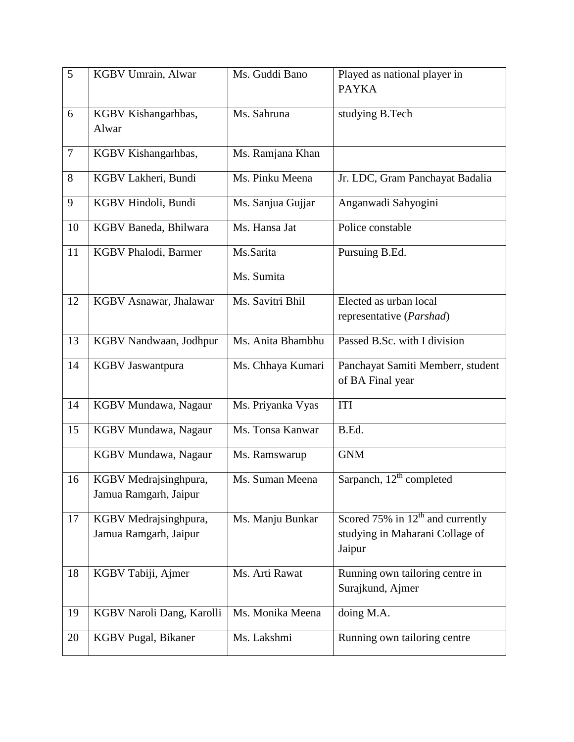| 5              | KGBV Umrain, Alwar         | Ms. Guddi Bano    | Played as national player in          |
|----------------|----------------------------|-------------------|---------------------------------------|
|                |                            |                   | <b>PAYKA</b>                          |
|                |                            |                   |                                       |
| 6              | KGBV Kishangarhbas,        | Ms. Sahruna       | studying B.Tech                       |
|                | Alwar                      |                   |                                       |
| $\overline{7}$ | KGBV Kishangarhbas,        | Ms. Ramjana Khan  |                                       |
|                |                            |                   |                                       |
| 8              | KGBV Lakheri, Bundi        | Ms. Pinku Meena   | Jr. LDC, Gram Panchayat Badalia       |
|                |                            |                   |                                       |
| 9              | KGBV Hindoli, Bundi        | Ms. Sanjua Gujjar | Anganwadi Sahyogini                   |
| 10             | KGBV Baneda, Bhilwara      | Ms. Hansa Jat     | Police constable                      |
|                |                            |                   |                                       |
| 11             | KGBV Phalodi, Barmer       | Ms.Sarita         | Pursuing B.Ed.                        |
|                |                            |                   |                                       |
|                |                            | Ms. Sumita        |                                       |
| 12             | KGBV Asnawar, Jhalawar     | Ms. Savitri Bhil  | Elected as urban local                |
|                |                            |                   | representative (Parshad)              |
|                |                            |                   |                                       |
| 13             | KGBV Nandwaan, Jodhpur     | Ms. Anita Bhambhu | Passed B.Sc. with I division          |
|                |                            |                   |                                       |
| 14             | KGBV Jaswantpura           | Ms. Chhaya Kumari | Panchayat Samiti Memberr, student     |
|                |                            |                   | of BA Final year                      |
|                |                            |                   |                                       |
| 14             | KGBV Mundawa, Nagaur       | Ms. Priyanka Vyas | <b>ITI</b>                            |
| 15             | KGBV Mundawa, Nagaur       | Ms. Tonsa Kanwar  | B.Ed.                                 |
|                |                            |                   |                                       |
|                | KGBV Mundawa, Nagaur       | Ms. Ramswarup     | <b>GNM</b>                            |
|                |                            |                   |                                       |
| 16             | KGBV Medrajsinghpura,      | Ms. Suman Meena   | Sarpanch, $12^{th}$ completed         |
|                | Jamua Ramgarh, Jaipur      |                   |                                       |
| 17             | KGBV Medrajsinghpura,      | Ms. Manju Bunkar  | Scored 75% in $12^{th}$ and currently |
|                | Jamua Ramgarh, Jaipur      |                   | studying in Maharani Collage of       |
|                |                            |                   | Jaipur                                |
|                |                            |                   |                                       |
| 18             | KGBV Tabiji, Ajmer         | Ms. Arti Rawat    | Running own tailoring centre in       |
|                |                            |                   | Surajkund, Ajmer                      |
|                |                            |                   |                                       |
| 19             | KGBV Naroli Dang, Karolli  | Ms. Monika Meena  | doing M.A.                            |
|                |                            |                   |                                       |
| 20             | <b>KGBV Pugal, Bikaner</b> | Ms. Lakshmi       | Running own tailoring centre          |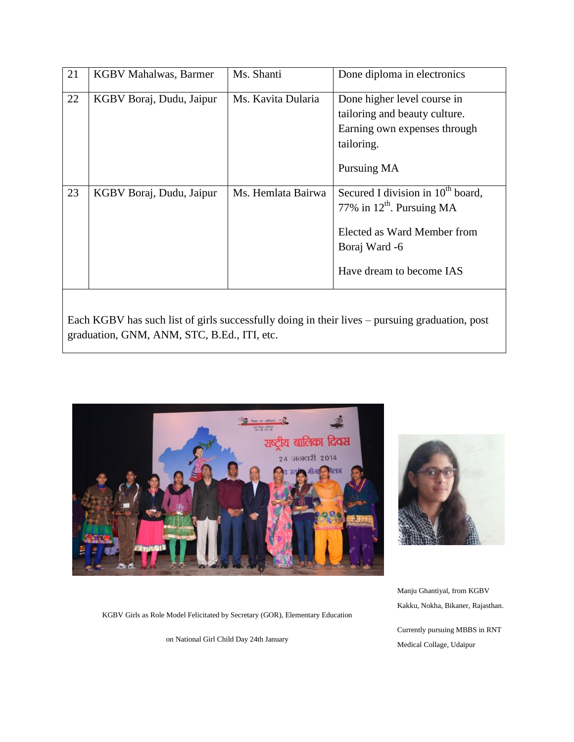| 21                                                                                                                                            | <b>KGBV Mahalwas</b> , Barmer | Ms. Shanti         | Done diploma in electronics                   |  |  |  |
|-----------------------------------------------------------------------------------------------------------------------------------------------|-------------------------------|--------------------|-----------------------------------------------|--|--|--|
| 22                                                                                                                                            | KGBV Boraj, Dudu, Jaipur      | Ms. Kavita Dularia | Done higher level course in                   |  |  |  |
|                                                                                                                                               |                               |                    | tailoring and beauty culture.                 |  |  |  |
|                                                                                                                                               |                               |                    | Earning own expenses through                  |  |  |  |
|                                                                                                                                               |                               |                    | tailoring.                                    |  |  |  |
|                                                                                                                                               |                               |                    | Pursuing MA                                   |  |  |  |
| 23                                                                                                                                            | KGBV Boraj, Dudu, Jaipur      | Ms. Hemlata Bairwa | Secured I division in 10 <sup>th</sup> board, |  |  |  |
|                                                                                                                                               |                               |                    | 77% in $12^{th}$ . Pursuing MA                |  |  |  |
|                                                                                                                                               |                               |                    | Elected as Ward Member from<br>Boraj Ward -6  |  |  |  |
|                                                                                                                                               |                               |                    | Have dream to become IAS                      |  |  |  |
| Each KGBV has such list of girls successfully doing in their lives – pursuing graduation, post<br>graduation, GNM, ANM, STC, B.Ed., ITI, etc. |                               |                    |                                               |  |  |  |





KGBV Girls as Role Model Felicitated by Secretary (GOR), Elementary Education

on National Girl Child Day 24th January

Manju Ghantiyal, from KGBV Kakku, Nokha, Bikaner, Rajasthan. Currently pursuing MBBS in RNT Medical Collage, Udaipur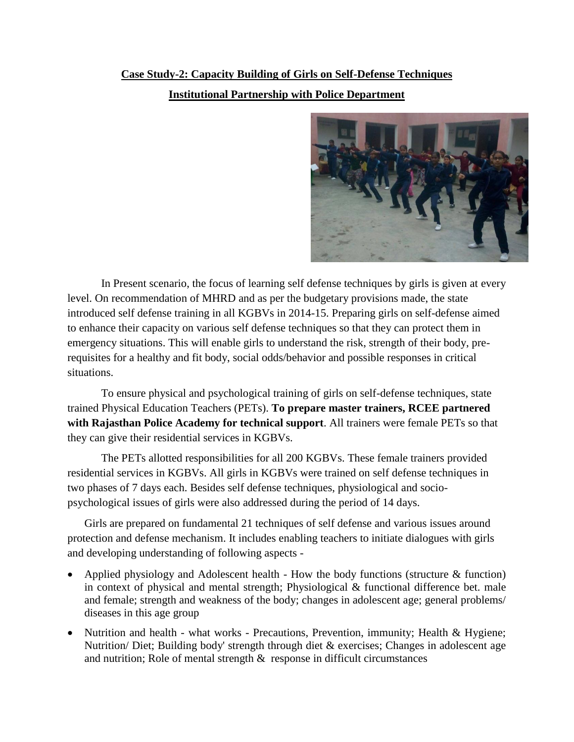# **Case Study-2: Capacity Building of Girls on Self-Defense Techniques Institutional Partnership with Police Department**



In Present scenario, the focus of learning self defense techniques by girls is given at every level. On recommendation of MHRD and as per the budgetary provisions made, the state introduced self defense training in all KGBVs in 2014-15. Preparing girls on self-defense aimed to enhance their capacity on various self defense techniques so that they can protect them in emergency situations. This will enable girls to understand the risk, strength of their body, prerequisites for a healthy and fit body, social odds/behavior and possible responses in critical situations.

To ensure physical and psychological training of girls on self-defense techniques, state trained Physical Education Teachers (PETs). **To prepare master trainers, RCEE partnered with Rajasthan Police Academy for technical support**. All trainers were female PETs so that they can give their residential services in KGBVs.

The PETs allotted responsibilities for all 200 KGBVs. These female trainers provided residential services in KGBVs. All girls in KGBVs were trained on self defense techniques in two phases of 7 days each. Besides self defense techniques, physiological and sociopsychological issues of girls were also addressed during the period of 14 days.

Girls are prepared on fundamental 21 techniques of self defense and various issues around protection and defense mechanism. It includes enabling teachers to initiate dialogues with girls and developing understanding of following aspects -

- Applied physiology and Adolescent health How the body functions (structure & function) in context of physical and mental strength; Physiological & functional difference bet. male and female; strength and weakness of the body; changes in adolescent age; general problems/ diseases in this age group
- Nutrition and health what works Precautions, Prevention, immunity; Health & Hygiene; Nutrition/ Diet; Building body' strength through diet & exercises; Changes in adolescent age and nutrition; Role of mental strength  $\&$  response in difficult circumstances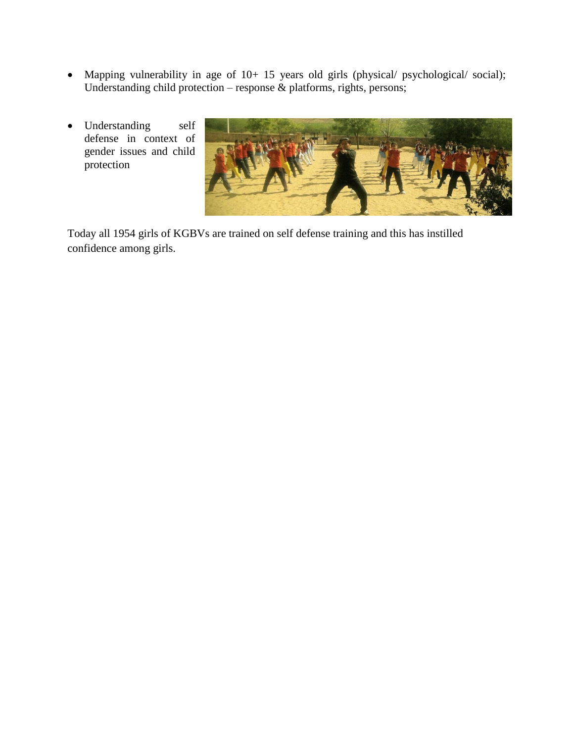- Mapping vulnerability in age of 10+ 15 years old girls (physical/ psychological/ social); Understanding child protection – response & platforms, rights, persons;
- Understanding self defense in context of gender issues and child protection



Today all 1954 girls of KGBVs are trained on self defense training and this has instilled confidence among girls.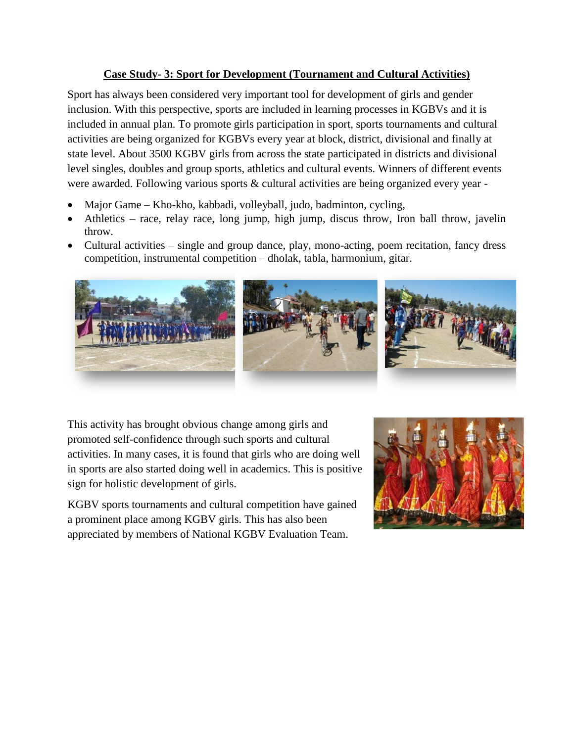## **Case Study- 3: Sport for Development (Tournament and Cultural Activities)**

Sport has always been considered very important tool for development of girls and gender inclusion. With this perspective, sports are included in learning processes in KGBVs and it is included in annual plan. To promote girls participation in sport, sports tournaments and cultural activities are being organized for KGBVs every year at block, district, divisional and finally at state level. About 3500 KGBV girls from across the state participated in districts and divisional level singles, doubles and group sports, athletics and cultural events. Winners of different events were awarded. Following various sports & cultural activities are being organized every year -

- Major Game Kho-kho, kabbadi, volleyball, judo, badminton, cycling,
- Athletics race, relay race, long jump, high jump, discus throw, Iron ball throw, javelin throw.
- Cultural activities single and group dance, play, mono-acting, poem recitation, fancy dress competition, instrumental competition – dholak, tabla, harmonium, gitar.



This activity has brought obvious change among girls and promoted self-confidence through such sports and cultural activities. In many cases, it is found that girls who are doing well in sports are also started doing well in academics. This is positive sign for holistic development of girls.

KGBV sports tournaments and cultural competition have gained a prominent place among KGBV girls. This has also been appreciated by members of National KGBV Evaluation Team.

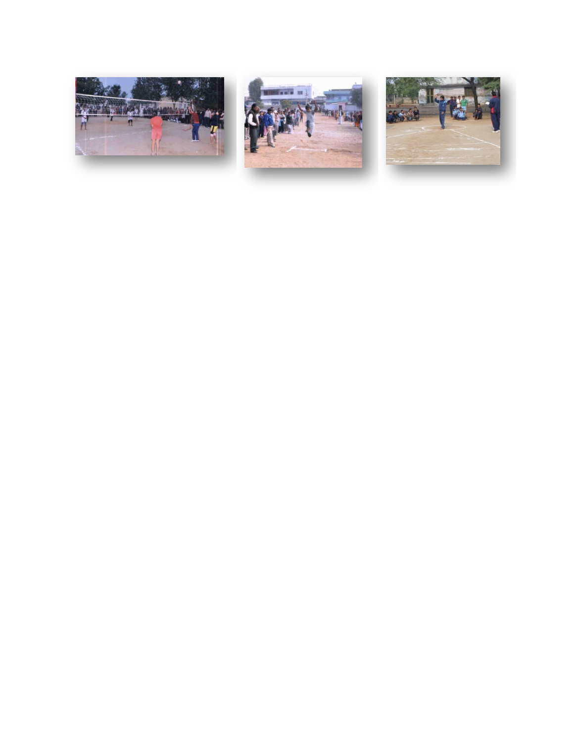



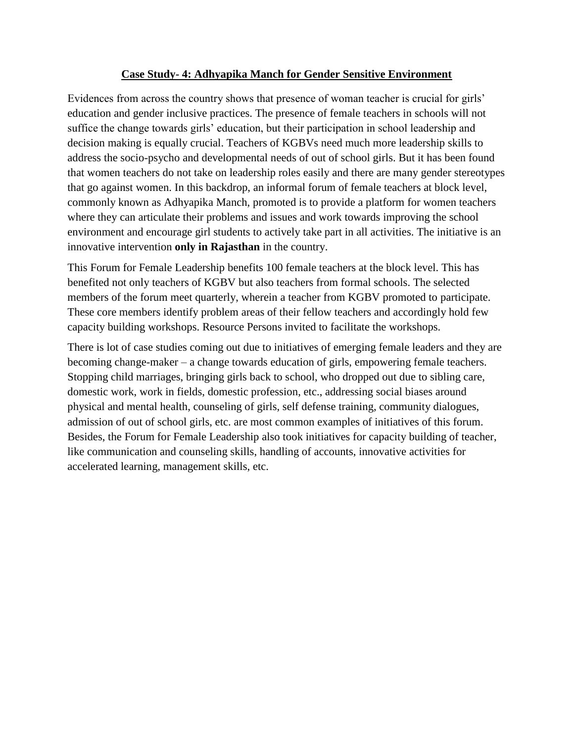### **Case Study- 4: Adhyapika Manch for Gender Sensitive Environment**

Evidences from across the country shows that presence of woman teacher is crucial for girls' education and gender inclusive practices. The presence of female teachers in schools will not suffice the change towards girls' education, but their participation in school leadership and decision making is equally crucial. Teachers of KGBVs need much more leadership skills to address the socio-psycho and developmental needs of out of school girls. But it has been found that women teachers do not take on leadership roles easily and there are many gender stereotypes that go against women. In this backdrop, an informal forum of female teachers at block level, commonly known as Adhyapika Manch, promoted is to provide a platform for women teachers where they can articulate their problems and issues and work towards improving the school environment and encourage girl students to actively take part in all activities. The initiative is an innovative intervention **only in Rajasthan** in the country.

This Forum for Female Leadership benefits 100 female teachers at the block level. This has benefited not only teachers of KGBV but also teachers from formal schools. The selected members of the forum meet quarterly, wherein a teacher from KGBV promoted to participate. These core members identify problem areas of their fellow teachers and accordingly hold few capacity building workshops. Resource Persons invited to facilitate the workshops.

There is lot of case studies coming out due to initiatives of emerging female leaders and they are becoming change-maker – a change towards education of girls, empowering female teachers. Stopping child marriages, bringing girls back to school, who dropped out due to sibling care, domestic work, work in fields, domestic profession, etc., addressing social biases around physical and mental health, counseling of girls, self defense training, community dialogues, admission of out of school girls, etc. are most common examples of initiatives of this forum. Besides, the Forum for Female Leadership also took initiatives for capacity building of teacher, like communication and counseling skills, handling of accounts, innovative activities for accelerated learning, management skills, etc.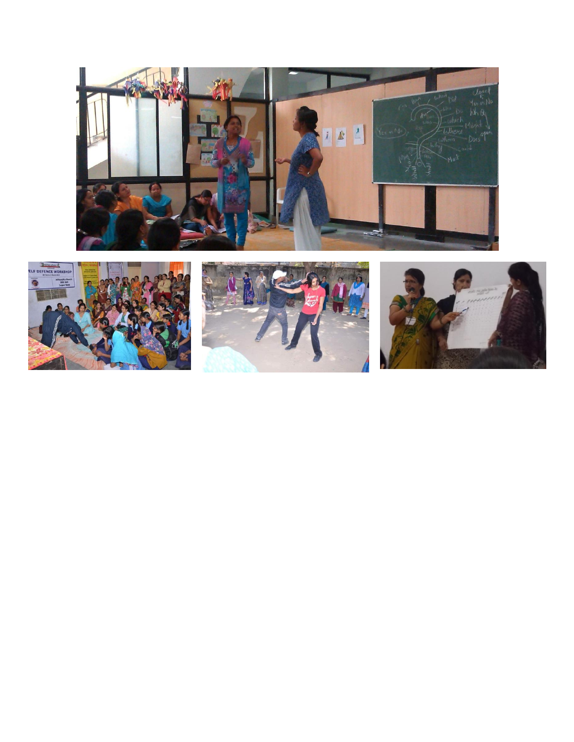





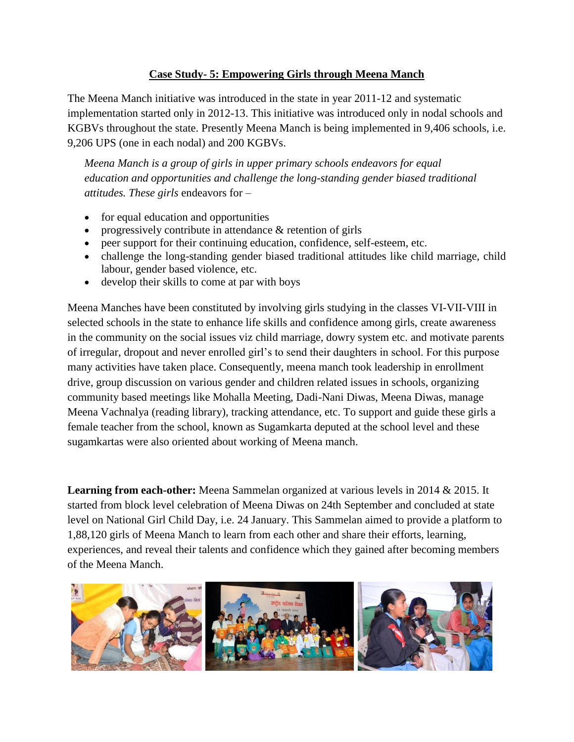### **Case Study- 5: Empowering Girls through Meena Manch**

The Meena Manch initiative was introduced in the state in year 2011-12 and systematic implementation started only in 2012-13. This initiative was introduced only in nodal schools and KGBVs throughout the state. Presently Meena Manch is being implemented in 9,406 schools, i.e. 9,206 UPS (one in each nodal) and 200 KGBVs.

*Meena Manch is a group of girls in upper primary schools endeavors for equal education and opportunities and challenge the long-standing gender biased traditional attitudes. These girls* endeavors for *–*

- for equal education and opportunities
- progressively contribute in attendance & retention of girls
- peer support for their continuing education, confidence, self-esteem, etc.
- challenge the long-standing gender biased traditional attitudes like child marriage, child labour, gender based violence, etc.
- develop their skills to come at par with boys

Meena Manches have been constituted by involving girls studying in the classes VI-VII-VIII in selected schools in the state to enhance life skills and confidence among girls, create awareness in the community on the social issues viz child marriage, dowry system etc. and motivate parents of irregular, dropout and never enrolled girl's to send their daughters in school. For this purpose many activities have taken place. Consequently, meena manch took leadership in enrollment drive, group discussion on various gender and children related issues in schools, organizing community based meetings like Mohalla Meeting, Dadi-Nani Diwas, Meena Diwas, manage Meena Vachnalya (reading library), tracking attendance, etc. To support and guide these girls a female teacher from the school, known as Sugamkarta deputed at the school level and these sugamkartas were also oriented about working of Meena manch.

**Learning from each-other:** Meena Sammelan organized at various levels in 2014 & 2015. It started from block level celebration of Meena Diwas on 24th September and concluded at state level on National Girl Child Day, i.e. 24 January. This Sammelan aimed to provide a platform to 1,88,120 girls of Meena Manch to learn from each other and share their efforts, learning, experiences, and reveal their talents and confidence which they gained after becoming members of the Meena Manch.